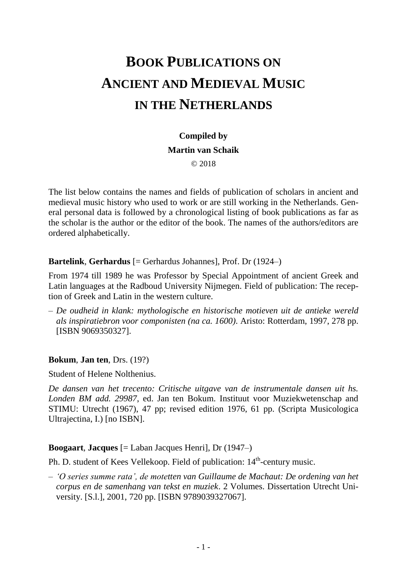# **BOOK PUBLICATIONS ON ANCIENT AND MEDIEVAL MUSIC IN THE NETHERLANDS**

## **Compiled by**

#### **Martin van Schaik**

© 2018

The list below contains the names and fields of publication of scholars in ancient and medieval music history who used to work or are still working in the Netherlands. General personal data is followed by a chronological listing of book publications as far as the scholar is the author or the editor of the book. The names of the authors/editors are ordered alphabetically.

#### **Bartelink**, **Gerhardus** [= Gerhardus Johannes], Prof. Dr (1924–)

From 1974 till 1989 he was Professor by Special Appointment of ancient Greek and Latin languages at the Radboud University Nijmegen. Field of publication: The reception of Greek and Latin in the western culture.

– *De oudheid in klank: mythologische en historische motieven uit de antieke wereld als inspiratiebron voor componisten (na ca. 1600).* Aristo: Rotterdam, 1997, 278 pp. [ISBN 9069350327].

## **Bokum**, **Jan ten**, Drs. (19?)

Student of Helene Nolthenius.

*De dansen van het trecento: Critische uitgave van de instrumentale dansen uit hs. Londen BM add. 29987*, ed. Jan ten Bokum. Instituut voor Muziekwetenschap and STIMU: Utrecht (1967), 47 pp; revised edition 1976, 61 pp. (Scripta Musicologica Ultrajectina, I.) [no ISBN].

## **Boogaart**, **Jacques** [= Laban Jacques Henri], Dr (1947–)

Ph. D. student of Kees Vellekoop. Field of publication:  $14<sup>th</sup>$ -century music.

– *'O series summe rata', de motetten van Guillaume de Machaut: De ordening van het corpus en de samenhang van tekst en muziek*. 2 Volumes. Dissertation Utrecht University. [S.l.], 2001, 720 pp. [ISBN 9789039327067].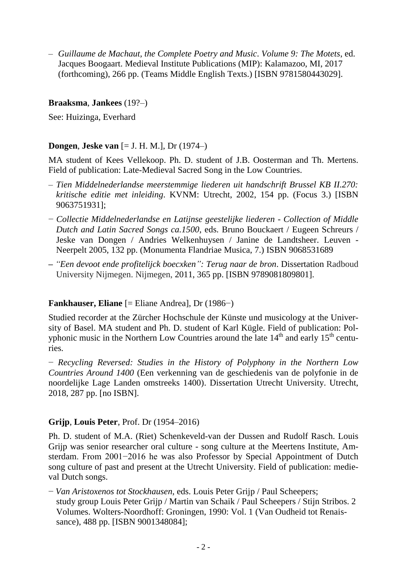– *Guillaume de Machaut, the Complete Poetry and Music*. *Volume 9: The Motets*, ed. Jacques Boogaart. Medieval Institute Publications (MIP): Kalamazoo, MI, 2017 (forthcoming), 266 pp. (Teams Middle English Texts.) [ISBN 9781580443029].

## **Braaksma**, **Jankees** (19?–)

See: Huizinga, Everhard

## **Dongen**, **Jeske van** [= J. H. M.], Dr (1974–)

MA student of Kees Vellekoop. Ph. D. student of J.B. Oosterman and Th. Mertens. Field of publication: Late-Medieval Sacred Song in the Low Countries.

- *Tien Middelnederlandse meerstemmige liederen uit handschrift Brussel KB II.270: kritische editie met inleiding*. KVNM: Utrecht, 2002, 154 pp. (Focus 3.) [ISBN 9063751931];
- − *Collectie Middelnederlandse en Latijnse geestelijke liederen - Collection of Middle Dutch and Latin Sacred Songs ca.1500*, eds. Bruno Bouckaert / Eugeen Schreurs / Jeske van Dongen / Andries Welkenhuysen / Janine de Landtsheer. Leuven - Neerpelt 2005, 132 pp. (Monumenta Flandriae Musica, 7.) ISBN 9068531689
- **–** *"Een devoot ende profitelijck boecxken": Terug naar de bron*. Dissertation Radboud University Nijmegen. Nijmegen, 2011, 365 pp. [ISBN 9789081809801].

## **Fankhauser, Eliane** [= Eliane Andrea], Dr (1986−)

Studied recorder at the Zürcher Hochschule der Künste und musicology at the University of Basel. MA student and Ph. D. student of Karl Kügle. Field of publication: Polyphonic music in the Northern Low Countries around the late  $14<sup>th</sup>$  and early  $15<sup>th</sup>$  centuries.

− *Recycling Reversed: Studies in the History of Polyphony in the Northern Low Countries Around 1400* (Een verkenning van de geschiedenis van de polyfonie in de noordelijke Lage Landen omstreeks 1400). Dissertation Utrecht University. Utrecht, 2018, 287 pp. [no ISBN].

#### **Grijp**, **Louis Peter**, Prof. Dr (1954–2016)

Ph. D. student of M.A. (Riet) Schenkeveld-van der Dussen and Rudolf Rasch. Louis Grijp was senior researcher oral culture - song culture at the Meertens Institute, Amsterdam. From 2001−2016 he was also Professor by Special Appointment of Dutch song culture of past and present at the Utrecht University. Field of publication: medieval Dutch songs.

− *Van Aristoxenos tot Stockhausen*, eds. Louis Peter Grijp / Paul Scheepers; study group Louis Peter Grijp / Martin van Schaik / Paul Scheepers / Stijn Stribos. 2 Volumes. Wolters-Noordhoff: Groningen, 1990: Vol. 1 (Van Oudheid tot Renaissance), 488 pp. [ISBN 9001348084];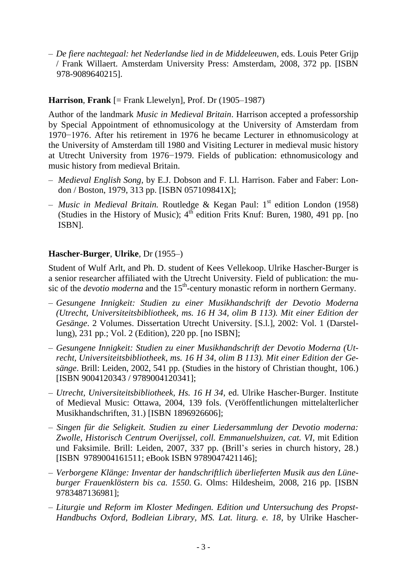– *De fiere nachtegaal: het Nederlandse lied in de Middeleeuwen*, eds. Louis Peter Grijp / Frank Willaert. Amsterdam University Press: Amsterdam, 2008, 372 pp. [ISBN [978-9089640215\]](javascript:open_window(%22http://aleph.library.uu.nl:80/F/DB3S6UX3TPGKF9K8PHGYVML3Y4QIIA4CINJVY6ARLJ3MR6NN4V-04967?func=service&doc_number=002242184&line_number=0006&service_type=TAG%22);).

## **Harrison**, **Frank** [= Frank Llewelyn], Prof. Dr (1905–1987)

Author of the landmark *Music in Medieval Britain*. Harrison accepted a professorship by Special Appointment of ethnomusicology at the University of Amsterdam from 1970−1976. After his retirement in 1976 he became Lecturer in ethnomusicology at the University of Amsterdam till 1980 and Visiting Lecturer in medieval music history at Utrecht University from 1976−1979. Fields of publication: ethnomusicology and music history from medieval Britain.

- *Medieval English Song,* by E.J. Dobson and F. Ll. Harrison. Faber and Faber: London / Boston, 1979, 313 pp. [ISBN 057109841X];
- *Music in Medieval Britain.* Routledge & Kegan Paul: 1 st edition London (1958) (Studies in the History of Music);  $4^{\text{th}}$  edition Frits Knuf: Buren, 1980, 491 pp. [no] ISBN].

## **Hascher-Burger**, **Ulrike**, Dr (1955–)

Student of Wulf Arlt, and Ph. D. student of Kees Vellekoop. Ulrike Hascher-Burger is a senior researcher affiliated with the Utrecht University. Field of publication: the music of the *devotio moderna* and the 15<sup>th</sup>-century monastic reform in northern Germany.

- *Gesungene Innigkeit: Studien zu einer Musikhandschrift der Devotio Moderna (Utrecht, Universiteitsbibliotheek, ms. 16 H 34, olim B 113). Mit einer Edition der Gesänge*. 2 Volumes. Dissertation Utrecht University. [S.l.], 2002: Vol. 1 (Darstellung), 231 pp.; Vol. 2 (Edition), 220 pp. [no ISBN];
- *Gesungene Innigkeit: Studien zu einer Musikhandschrift der Devotio Moderna (Utrecht, Universiteitsbibliotheek, ms. 16 H 34, olim B 113). Mit einer Edition der Gesänge*. Brill: Leiden, 2002, 541 pp. (Studies in the history of Christian thought, 106.) [ISBN [9004120343](javascript:open_window(%22http://aleph.library.uu.nl:80/F/E4Y5LYDS693C3BUP9GLEARDQTVE8DIJJ3QID5DPGMBSVQ4GHCY-28409?func=service&doc_number=002002263&line_number=0006&service_type=TAG%22);) / 9789004120341];
- *Utrecht, [Universiteitsbibliotheek, Hs. 16 H 34,](http://aleph.library.uu.nl/ALEPH/6C1XFLCN1KS6GQN7R4YC6IMSC4I78ST67HXGK2S7YTBNENPH9A-00096/file/service-0?P01=002082615&P02=0009&P03=TAG)* ed. Ulrike Hascher-Burger. Institute of Medieval Music: Ottawa, 2004, 139 fols. (Veröffentlichungen mittelalterlicher Musikhandschriften, 31.) [ISBN [1896926606\]](javascript:open_window(%22http://aleph.library.uu.nl:80/F/E4Y5LYDS693C3BUP9GLEARDQTVE8DIJJ3QID5DPGMBSVQ4GHCY-15137?func=service&doc_number=002082615&line_number=0005&service_type=TAG%22););
- *Singen für die Seligkeit. Studien zu einer Liedersammlung der Devotio moderna: Zwolle, Historisch Centrum Overijssel, coll. Emmanuelshuizen, cat. VI,* mit Edition und Faksimile. Brill: Leiden, 2007, 337 pp. (Brill's series in church history, 28.) [ISBN [9789004161511;](javascript:open_window(%22http://aleph.library.uu.nl:80/F/E4Y5LYDS693C3BUP9GLEARDQTVE8DIJJ3QID5DPGMBSVQ4GHCY-19765?func=service&doc_number=002205561&line_number=0006&service_type=TAG%22);) eBook ISBN 9789047421146];
- *Verborgene Klänge: [Inventar der handschriftlich überlieferten Musik aus den Lüne](javascript:open_window(%22http://aleph.library.uu.nl:80/F/IBIYPJG4LLX98M6V7VJHK1B92CYEENY2ASFKAHTQIVEDIK1LI1-39264?func=service&doc_number=002288729&line_number=0010&service_type=TAG%22);)[burger Frauenklöstern bis ca. 1550.](javascript:open_window(%22http://aleph.library.uu.nl:80/F/IBIYPJG4LLX98M6V7VJHK1B92CYEENY2ASFKAHTQIVEDIK1LI1-39264?func=service&doc_number=002288729&line_number=0010&service_type=TAG%22);)* G. Olms: Hildesheim, 2008, 216 pp. [ISBN [9783487136981\]](javascript:open_window(%22http://aleph.library.uu.nl:80/F/E4Y5LYDS693C3BUP9GLEARDQTVE8DIJJ3QID5DPGMBSVQ4GHCY-22176?func=service&doc_number=002288729&line_number=0005&service_type=TAG%22););
- *Liturgie und Reform im Kloster Medingen. Edition und Untersuchung des Propst-Handbuchs Oxford, Bodleian Library, MS. Lat. liturg. e. 18*, by Ulrike Hascher-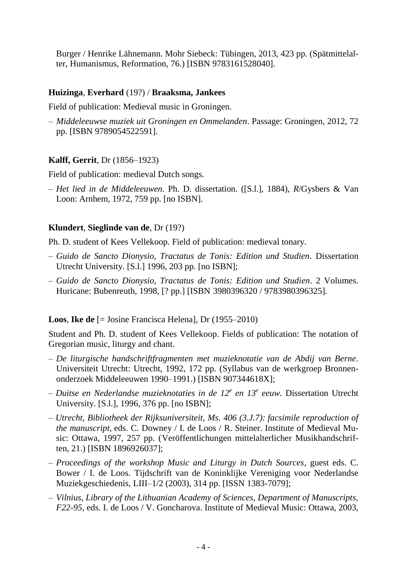Burger / Henrike Lähnemann. Mohr Siebeck: Tübingen, 2013, 423 pp. (Spätmittelalter, Humanismus, Reformation, 76.) [ISBN [9783161528040\]](javascript:open_window(%22http://aleph.library.uu.nl:80/F/E4Y5LYDS693C3BUP9GLEARDQTVE8DIJJ3QID5DPGMBSVQ4GHCY-24263?func=service&doc_number=002579237&line_number=0008&service_type=TAG%22);).

## **Huizinga**, **Everhard** (19?) / **Braaksma, Jankees**

Field of publication: Medieval music in Groningen.

– *Middeleeuwse muziek uit Groningen en Ommelanden*. Passage: Groningen, 2012, 72 pp. [ISBN 9789054522591].

## **Kalff, Gerrit**, Dr (1856–1923)

Field of publication: medieval Dutch songs.

– *Het lied in de Middeleeuwen*. Ph. D. dissertation. ([S.l.], 1884), *R*/Gysbers & Van Loon: Arnhem, 1972, 759 pp. [no ISBN].

#### **Klundert**, **Sieglinde van de**, Dr (19?)

Ph. D. student of Kees Vellekoop. Field of publication: medieval tonary.

- *Guido de Sancto Dionysio, Tractatus de Tonis: Edition und Studien*. Dissertation Utrecht University. [S.l.] 1996, 203 pp. [no ISBN];
- *Guido de Sancto Dionysio, Tractatus de Tonis: Edition und Studien*. 2 Volumes. Huricane: Bubenreuth, 1998, [? pp.] [ISBN [3980396320](javascript:open_window(%22http://aleph.library.uu.nl:80/F/DB3S6UX3TPGKF9K8PHGYVML3Y4QIIA4CINJVY6ARLJ3MR6NN4V-10982?func=service&doc_number=001816663&line_number=0006&service_type=TAG%22);) / 9783980396325].

#### **Loos**, **Ike de** [= Josine Francisca Helena], Dr (1955–2010)

Student and Ph. D. student of Kees Vellekoop. Fields of publication: The notation of Gregorian music, liturgy and chant.

- *De liturgische handschriftfragmenten met muzieknotatie van de Abdij van Berne*. Universiteit Utrecht: Utrecht, 1992, 172 pp. (Syllabus van de werkgroep Bronnenonderzoek Middeleeuwen 1990–1991.) [ISBN [907344618X\]](javascript:open_window(%22http://aleph.library.uu.nl:80/F/DB3S6UX3TPGKF9K8PHGYVML3Y4QIIA4CINJVY6ARLJ3MR6NN4V-17134?func=service&doc_number=001321671&line_number=0008&service_type=TAG%22););
- *Duitse en Nederlandse muzieknotaties in de 12<sup>e</sup> en 13<sup>e</sup> eeuw.* Dissertation Utrecht University. [S.l.], 1996, 376 pp. [no ISBN];
- *Utrecht, Bibliotheek der Rijksuniversiteit, Ms. 406 (3.J.7): facsimile reproduction of the manuscript*, eds. C. Downey / I. de Loos / R. Steiner. Institute of Medieval Music: Ottawa, 1997, 257 pp. (Veröffentlichungen mittelalterlicher Musikhandschriften, 21.) [ISBN [1896926037\]](javascript:open_window(%22http://aleph.library.uu.nl:80/F/DB3S6UX3TPGKF9K8PHGYVML3Y4QIIA4CINJVY6ARLJ3MR6NN4V-18752?func=service&doc_number=001666189&line_number=0006&service_type=TAG%22););
- *Proceedings of the workshop Music and Liturgy in Dutch Sources*, guest eds. C. Bower / I. de Loos. Tijdschrift van de Koninklijke Vereniging voor Nederlandse Muziekgeschiedenis, LIII–1/2 (2003), 314 pp. [ISSN 1383-7079];
- *[Vilnius, Library of the Lithuanian Academy of Sciences, Department of Manuscripts,](http://aleph.library.uu.nl/ALEPH/DT28H9M3UIJIMMAYYANEMI1G39FBPH11HTDVU9U9B2L9463121-01372/file/service-0?P01=002025005&P02=0008&P03=TAG)  F22-95,* eds. I. de [Loos / V. Goncharova.](http://aleph.library.uu.nl/ALEPH/DT28H9M3UIJIMMAYYANEMI1G39FBPH11HTDVU9U9B2L9463121-01372/file/service-0?P01=002025005&P02=0008&P03=TAG) Institute of Medieval Music: Ottawa, 2003,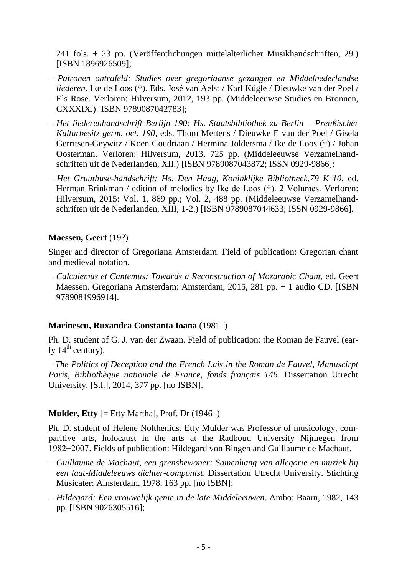241 fols. + 23 pp. (Veröffentlichungen mittelalterlicher Musikhandschriften, 29.) [ISBN [1896926509\]](javascript:open_window(%22http://aleph.library.uu.nl:80/F/DB3S6UX3TPGKF9K8PHGYVML3Y4QIIA4CINJVY6ARLJ3MR6NN4V-22136?func=service&doc_number=002025005&line_number=0005&service_type=TAG%22););

- *Patronen ontrafeld: Studies over gregoriaanse gezangen en Middelnederlandse liederen*. Ike de Loos (†). Eds. José van Aelst / Karl Kügle / Dieuwke van der Poel / Els Rose. Verloren: Hilversum, 2012, 193 pp. (Middeleeuwse Studies en Bronnen, CXXXIX.) [ISBN 9789087042783];
- *Het liederenhandschrift Berlijn 190: Hs. Staatsbibliothek zu Berlin – Preußischer Kulturbesitz germ. oct. 190*, eds. Thom Mertens / Dieuwke E van der Poel / Gisela Gerritsen-Geywitz / Koen Goudriaan / Hermina Joldersma / Ike de Loos (†) / Johan Oosterman. Verloren: Hilversum, 2013, 725 pp. (Middeleeuwse Verzamelhandschriften uit de Nederlanden, XII.) [ISBN 9789087043872; ISSN 0929-9866];
- *Het Gruuthuse-handschrift: Hs. Den Haag, Koninklijke Bibliotheek,79 K 10*, ed. Herman Brinkman / edition of melodies by Ike de Loos (†). 2 Volumes. Verloren: Hilversum, 2015: Vol. 1, 869 pp.; Vol. 2, 488 pp. (Middeleeuwse Verzamelhandschriften uit de Nederlanden, XIII, 1-2.) [ISBN 9789087044633; ISSN 0929-9866].

#### **Maessen, Geert** (19?)

Singer and director of Gregoriana Amsterdam. Field of publication: Gregorian chant and medieval notation.

– *Calculemus et Cantemus: Towards a Reconstruction of Mozarabic Chant*, ed. Geert Maessen. Gregoriana Amsterdam: Amsterdam, 2015, 281 pp. + 1 audio CD. [ISBN 9789081996914].

## **Marinescu, Ruxandra Constanta Ioana** (1981–)

Ph. D. student of G. J. van der Zwaan. Field of publication: the Roman de Fauvel (early  $14^{\text{th}}$  century).

– *The Politics of Deception and the French Lais in the Roman de Fauvel, Manuscirpt Paris, Bibliothèque nationale de France, fonds français 146.* Dissertation Utrecht University. [S.l.], 2014, 377 pp. [no ISBN].

## **Mulder**, **Etty** [= Etty Martha], Prof. Dr (1946–)

Ph. D. student of Helene Nolthenius. Etty Mulder was Professor of musicology, comparitive arts, holocaust in the arts at the Radboud University Nijmegen from 1982−2007. Fields of publication: Hildegard von Bingen and Guillaume de Machaut.

- *Guillaume de Machaut, een grensbewoner: Samenhang van allegorie en muziek bij een laat-Middeleeuws dichter-componist*. Dissertation Utrecht University. Stichting Musicater: Amsterdam, 1978, 163 pp. [no ISBN];
- *– Hildegard: Een vrouwelijk genie in de late Middeleeuwen*. Ambo: Baarn, 1982, 143 pp. [ISBN [9026305516\]](javascript:open_window(%22http://aleph.library.uu.nl:80/F/DB3S6UX3TPGKF9K8PHGYVML3Y4QIIA4CINJVY6ARLJ3MR6NN4V-03793?func=service&doc_number=000460453&line_number=0008&service_type=TAG%22););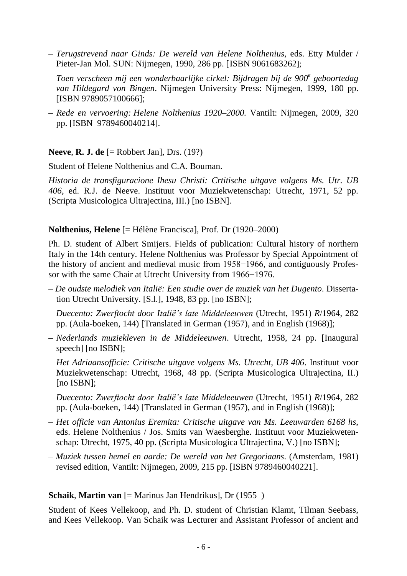- *Terugstrevend naar Ginds: De wereld van Helene Nolthenius,* eds. Etty Mulder / Pieter-Jan Mol. SUN: Nijmegen, 1990, 286 pp. [ISBN [9061683262](javascript:open_window(%22http://aleph.library.uu.nl:80/F/DB3S6UX3TPGKF9K8PHGYVML3Y4QIIA4CINJVY6ARLJ3MR6NN4V-22841?func=service&doc_number=001185658&line_number=0009&service_type=TAG%22);)];
- *– Toen verscheen mij een wonderbaarlijke cirkel: Bijdragen bij de 900<sup>e</sup> geboortedag van Hildegard von Bingen*. Nijmegen University Press: Nijmegen, 1999, 180 pp. [ISBN 9789057100666];
- *Rede en vervoering: Helene Nolthenius 1920–2000.* Vantilt: Nijmegen, 2009, 320 pp. [ISBN [9789460040214\]](javascript:open_window(%22http://aleph.library.uu.nl:80/F/DB3S6UX3TPGKF9K8PHGYVML3Y4QIIA4CINJVY6ARLJ3MR6NN4V-06198?func=service&doc_number=002259829&line_number=0006&service_type=TAG%22);).

**Neeve**, **R. J. de** [= Robbert Jan], Drs. (19?)

Student of Helene Nolthenius and C.A. Bouman.

*Historia de transfiguracione Ihesu Christi: Crtitische uitgave volgens Ms. Utr. UB 406*, ed. R.J. de Neeve. Instituut voor Muziekwetenschap: Utrecht, 1971, 52 pp. (Scripta Musicologica Ultrajectina, III.) [no ISBN].

## **Nolthenius, Helene** [= Hélène Francisca], Prof. Dr (1920–2000)

Ph. D. student of Albert Smijers. Fields of publication: Cultural history of northern Italy in the 14th century. Helene Nolthenius was Professor by Special Appointment of the history of ancient and medieval music from 1958−1966, and contiguously Professor with the same Chair at Utrecht University from 1966−1976.

- *De oudste melodiek van Italië: Een studie over de muziek van het Dugento*. Dissertation Utrecht University. [S.l.], 1948, 83 pp. [no ISBN];
- *– Duecento: Zwerftocht door Italië's late Middeleeuwen* (Utrecht, 1951) *R*/1964, 282 pp. (Aula-boeken, 144) [Translated in German (1957), and in English (1968)];
- *Nederlands muziekleven in de Middeleeuwen*. Utrecht, 1958, 24 pp. [Inaugural speech] [no ISBN];
- *Het Adriaansofficie: Critische uitgave volgens Ms. Utrecht, UB 406*. Instituut voor Muziekwetenschap: Utrecht, 1968, 48 pp. (Scripta Musicologica Ultrajectina, II.) [no ISBN];
- *– Duecento: Zwerftocht door Italië's late Middeleeuwen* (Utrecht, 1951) *R*/1964, 282 pp. (Aula-boeken, 144) [Translated in German (1957), and in English (1968)];
- *– Het officie van Antonius Eremita: Critische uitgave van Ms. Leeuwarden 6168 hs*, eds. Helene Nolthenius / Jos. Smits van Waesberghe. Instituut voor Muziekwetenschap: Utrecht, 1975, 40 pp. (Scripta Musicologica Ultrajectina, V.) [no ISBN];
- *Muziek tussen hemel en aarde: De wereld van het Gregoriaans*. (Amsterdam, 1981) revised edition, Vantilt: Nijmegen, 2009, 215 pp. [ISBN [9789460040221\]](javascript:open_window(%22http://aleph.library.uu.nl:80/F/1X18S2TI8YQSAY3YSGJD8CJA3JRT711G61ETQ32VRML5DFTL9S-24281?func=service&doc_number=002287890&line_number=0006&service_type=TAG%22);).

## **Schaik**, **Martin van** [= Marinus Jan Hendrikus], Dr (1955–)

Student of Kees Vellekoop, and Ph. D. student of Christian Klamt, Tilman Seebass, and Kees Vellekoop. Van Schaik was Lecturer and Assistant Professor of ancient and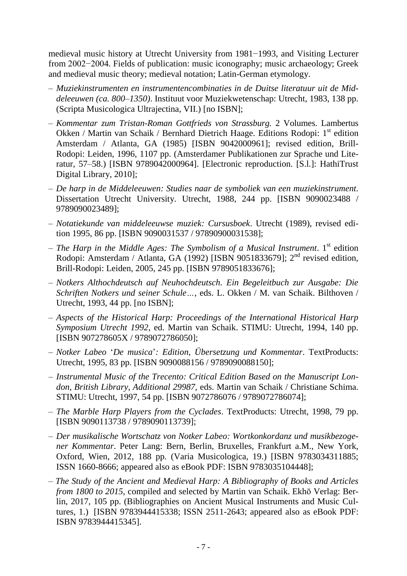medieval music history at Utrecht University from 1981−1993, and Visiting Lecturer from 2002−2004. Fields of publication: music iconography; music archaeology; Greek and medieval music theory; medieval notation; Latin-German etymology.

- *Muziekinstrumenten en instrumentencombinaties in de Duitse literatuur uit de Middeleeuwen (ca. 800–1350)*. Instituut voor Muziekwetenschap: Utrecht, 1983, 138 pp. (Scripta Musicologica Ultrajectina, VII.) [no ISBN];
- *– Kommentar zum Tristan-Roman Gottfrieds von Strassburg.* 2 Volumes. Lambertus Okken / Martin van Schaik / Bernhard Dietrich Haage. Editions Rodopi: 1<sup>st</sup> edition Amsterdam / Atlanta, GA (1985) [ISBN 9042000961]; revised edition, Brill-Rodopi: Leiden, 1996, 1107 pp. (Amsterdamer Publikationen zur Sprache und Literatur, 57–58.) [ISBN 9789042000964]. [Electronic reproduction. [S.l.]: HathiTrust Digital Library, 2010];
- *De harp in de Middeleeuwen: Studies naar de symboliek van een muziekinstrument*. Dissertation Utrecht University. Utrecht, 1988, 244 pp. [ISBN 9090023488 / 9789090023489];
- *– Notatiekunde van middeleeuwse muziek: Cursusboek*. Utrecht (1989), revised edition 1995, 86 pp. [ISBN 9090031537 / 97890900031538];
- *The Harp in the Middle Ages: The Symbolism of a Musical Instrument*. 1 st edition Rodopi: Amsterdam / Atlanta, GA (1992) [ISBN 9051833679]; 2<sup>nd</sup> revised edition, Brill-Rodopi: Leiden, 2005, 245 pp. [ISBN 9789051833676];
- *– Notkers Althochdeutsch auf Neuhochdeutsch. Ein Begeleitbuch zur Ausgabe: Die Schriften Notkers und seiner Schule…*, eds. L. Okken / M. van Schaik. Bilthoven / Utrecht, 1993, 44 pp. [no ISBN];
- *Aspects of the Historical Harp: Proceedings of the International Historical Harp Symposium Utrecht 1992*, ed. Martin van Schaik. STIMU: Utrecht, 1994, 140 pp. [ISBN 907278605X / 9789072786050];
- *– Notker Labeo* '*De musica*'*: Edition, Übersetzung und Kommentar*. TextProducts: Utrecht, 1995, 83 pp. [ISBN 9090088156 / 9789090088150];
- *– Instrumental Music of the Trecento: Critical Edition Based on the Manuscript London, British Library, Additional 29987,* eds. Martin van Schaik / Christiane Schima. STIMU: Utrecht, 1997, 54 pp. [ISBN 9072786076 / 9789072786074];
- *– The Marble Harp Players from the Cyclades*. TextProducts: Utrecht, 1998, 79 pp. [ISBN 9090113738 / 9789090113739];
- *Der musikalische Wortschatz von Notker Labeo: Wortkonkordanz und musikbezogener Kommentar*. Peter Lang: Bern, Berlin, Bruxelles, Frankfurt a.M., New York, Oxford, Wien, 2012, 188 pp. (Varia Musicologica, 19.) [ISBN 9783034311885; ISSN 1660-8666; appeared also as eBook PDF: ISBN 9783035104448];
- *The Study of the Ancient and Medieval Harp: A Bibliography of Books and Articles from 1800 to 2015,* compiled and selected by Martin van Schaik. Ekhō Verlag: Berlin, 2017, 105 pp. (Bibliographies on Ancient Musical Instruments and Music Cultures, 1.) [ISBN 9783944415338; ISSN 2511-2643; appeared also as eBook PDF: ISBN 9783944415345].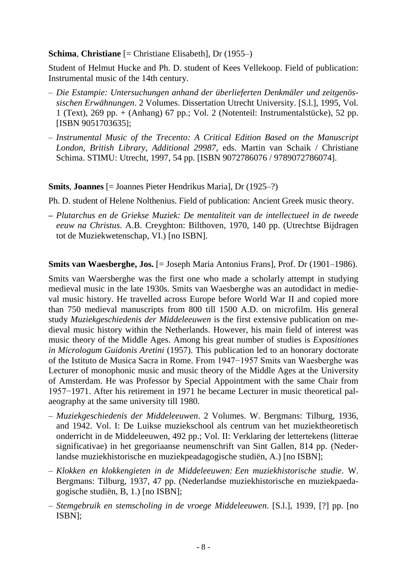#### **Schima**, **Christiane** [= Christiane Elisabeth], Dr (1955–)

Student of Helmut Hucke and Ph. D. student of Kees Vellekoop. Field of publication: Instrumental music of the 14th century.

- *Die Estampie: Untersuchungen anhand der überlieferten Denkmäler und zeitgenössischen Erwähnungen*. 2 Volumes. Dissertation Utrecht University. [S.l.], 1995, Vol. 1 (Text), 269 pp. + (Anhang) 67 pp.; Vol. 2 (Notenteil: Instrumentalstücke), 52 pp. [ISBN [9051703635](javascript:open_window(%22http://aleph.library.uu.nl:80/F/D6BLM2PS98KME4M1TX45VMGC7KYRLDNQVEIRGPXEPS9QIGF77F-22011?func=service&doc_number=001576432&line_number=0008&service_type=TAG%22);)];
- *– Instrumental Music of the Trecento: A Critical Edition Based on the Manuscript London, British Library, Additional 29987,* eds. Martin van Schaik / Christiane Schima. STIMU: Utrecht, 1997, 54 pp. [ISBN 9072786076 / 9789072786074].

## **Smits**, **Joannes** [= Joannes Pieter Hendrikus Maria], Dr (1925–?)

Ph. D. student of Helene Nolthenius. Field of publication: Ancient Greek music theory.

**–** *Plutarchus en de Griekse Muziek: De mentaliteit van de intellectueel in de tweede eeuw na Christus*. A.B. Creyghton: Bilthoven, 1970, 140 pp. (Utrechtse Bijdragen tot de Muziekwetenschap, VI.) [no ISBN].

## **Smits van Waesberghe, Jos.** [= Joseph Maria Antonius Frans], Prof. Dr (1901–1986).

Smits van Waersberghe was the first one who made a scholarly attempt in studying medieval music in the late 1930s. Smits van Waesberghe was an autodidact in medieval music history. He travelled across Europe before World War II and copied more than 750 medieval manuscripts from 800 till 1500 A.D. on microfilm. His general study *Muziekgeschiedenis der Middeleeuwen* is the first extensive publication on medieval music history within the Netherlands. However, his main field of interest was music theory of the Middle Ages. Among his great number of studies is *Expositiones in Micrologum Guidonis Aretini* (1957). This publication led to an honorary doctorate of the Istituto de Musica Sacra in Rome. From 1947−1957 Smits van Waesberghe was Lecturer of monophonic music and music theory of the Middle Ages at the University of Amsterdam. He was Professor by Special Appointment with the same Chair from 1957−1971. After his retirement in 1971 he became Lecturer in music theoretical palaeography at the same university till 1980.

- *Muziekgeschiedenis der Middeleeuwen*. 2 Volumes. W. Bergmans: Tilburg, 1936, and 1942. Vol. I: De Luikse muziekschool als centrum van het muziektheoretisch onderricht in de Middeleeuwen, 492 pp.; Vol. II: Verklaring der lettertekens (litterae significativae) in het gregoriaanse neumenschrift van Sint Gallen, 814 pp. (Nederlandse muziekhistorische en muziekpeadagogische studiën, A.) [no ISBN];
- *– Klokken en klokkengieten in de Middeleeuwen: Een muziekhistorische studie*. W. Bergmans: Tilburg, 1937, 47 pp. (Nederlandse muziekhistorische en muziekpaedagogische studiën, B, 1.) [no ISBN];
- *Stemgebruik en stemscholing in de vroege Middeleeuwen*. [S.l.], 1939, [?] pp. [no ISBN];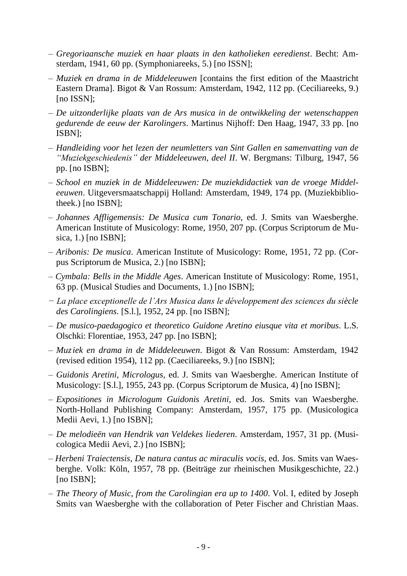- *Gregoriaansche muziek en haar plaats in den katholieken eeredienst*. Becht: Amsterdam, 1941, 60 pp. (Symphoniareeks, 5.) [no ISSN];
- *Muziek en drama in de Middeleeuwen* [contains the first edition of the Maastricht Eastern Drama]. Bigot & Van Rossum: Amsterdam, 1942, 112 pp. (Ceciliareeks, 9.) [no ISSN];
- *– De uitzonderlijke plaats van de Ars musica in de ontwikkeling der wetenschappen gedurende de eeuw der Karolingers*. Martinus Nijhoff: Den Haag, 1947, 33 pp. [no ISBN];
- *– Handleiding voor het lezen der neumletters van Sint Gallen en samenvatting van de "Muziekgeschiedenis" der Middeleeuwen, deel II*. W. Bergmans: Tilburg, 1947, 56 pp. [no ISBN];
- *– School en muziek in de Middeleeuwen: De muziekdidactiek van de vroege Middeleeuwen*. Uitgeversmaatschappij Holland: Amsterdam, 1949, 174 pp. (Muziekbibliotheek.) [no ISBN];
- *– Johannes Affligemensis: De Musica cum Tonario*, ed. J. Smits van Waesberghe. American Institute of Musicology: Rome, 1950, 207 pp. (Corpus Scriptorum de Musica, 1.) [no ISBN];
- *– Aribonis: De musica*. American Institute of Musicology: Rome, 1951, 72 pp. (Corpus Scriptorum de Musica, 2.) [no ISBN];
- *– Cymbala: Bells in the Middle Ages*. American Institute of Musicology: Rome, 1951, 63 pp. (Musical Studies and Documents, 1.) [no ISBN];
- *− La place exceptionelle de l'Ars Musica dans le développement des sciences du siècle des Carolingiens*. [S.l.], 1952, 24 pp. [no ISBN];
- *– De musico-paedagogico et theoretico Guidone Aretino eiusque vita et moribus*. L.S. Olschki: Florentiae, 1953, 247 pp. [no ISBN];
- *Muziek en drama in de Middeleeuwen*. Bigot & Van Rossum: Amsterdam, 1942 (revised edition 1954), 112 pp. (Caeciliareeks, 9.) [no ISBN];
- *– Guidonis Aretini, Micrologus*, ed. J. Smits van Waesberghe. American Institute of Musicology: [S.l.], 1955, 243 pp. (Corpus Scriptorum de Musica, 4) [no ISBN];
- *– Expositiones in Micrologum Guidonis Aretini*, ed. Jos. Smits van Waesberghe. North-Holland Publishing Company: Amsterdam, 1957, 175 pp. (Musicologica Medii Aevi, 1.) [no ISBN];
- *– De melodieën van Hendrik van Veldekes liederen*. Amsterdam, 1957, 31 pp. (Musicologica Medii Aevi, 2.) [no ISBN];
- *Herbeni Traiectensis, De natura cantus ac miraculis vocis*, ed. Jos. Smits van Waesberghe. Volk: Köln, 1957, 78 pp. (Beiträge zur rheinischen Musikgeschichte, 22.) [no ISBN];
- *The Theory of Music, from the Carolingian era up to 1400*. Vol. I, edited by Joseph Smits van Waesberghe with the collaboration of Peter Fischer and Christian Maas.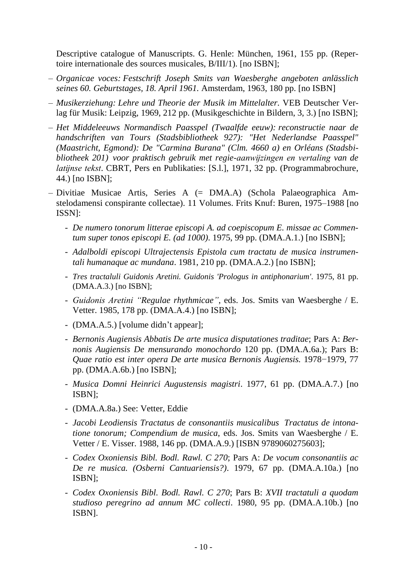Descriptive catalogue of Manuscripts. G. Henle: München, 1961, 155 pp. (Repertoire internationale des sources musicales, B/III/1). [no ISBN];

- *Organicae voces: Festschrift Joseph Smits van Waesberghe angeboten anlässlich seines 60. Geburtstages, 18. April 1961.* Amsterdam, 1963, 180 pp. [no ISBN]
- *Musikerziehung: Lehre und Theorie der Musik im Mittelalter.* VEB Deutscher Verlag für Musik: Leipzig, 1969, 212 pp. (Musikgeschichte in Bildern, 3, 3.) [no ISBN];
- *Het Middeleeuws Normandisch Paasspel (Twaalfde eeuw): reconstructie naar de handschriften van Tours (Stadsbibliotheek 927): "Het Nederlandse Paasspel" (Maastricht, Egmond): De "Carmina Burana" (Clm. 4660 a) en Orléans (Stadsbibliotheek 201) voor praktisch gebruik met regie-aanwijzingen en vertaling van de latijnse tekst*. CBRT, Pers en Publikaties: [S.l.], 1971, 32 pp. (Programmabrochure, 44.) [no ISBN];
- Divitiae Musicae Artis, Series A (= DMA.A) (Schola Palaeographica Amstelodamensi conspirante collectae). 11 Volumes. Frits Knuf: Buren, 1975–1988 [no ISSN]:
	- *De numero tonorum litterae episcopi A. ad coepiscopum E. missae ac Commentum super tonos episcopi E. (ad 1000)*. 1975, 99 pp. (DMA.A.1.) [no ISBN];
	- *Adalboldi episcopi Ultrajectensis Epistola cum tractatu de musica instrumentali humanaque ac mundana*. 1981, 210 pp. (DMA.A.2.) [no ISBN];
	- *Tres tractaluli Guidonis Aretini. Guidonis 'Prologus in antiphonarium'*. 1975, 81 pp. (DMA.A.3.) [no ISBN];
	- *Guidonis Aretini "Regulae rhythmicae"*, eds. Jos. Smits van Waesberghe / E. Vetter. 1985, 178 pp. (DMA.A.4.) [no ISBN];
	- (DMA.A.5.) [volume didn't appear];
	- *Bernonis Augiensis Abbatis De arte musica disputationes traditae*; Pars A: *Bernonis Augiensis De mensurando monochordo* 120 pp. (DMA.A.6a.); Pars B: *Quae ratio est inter opera De arte musica Bernonis Augiensis.* 1978−1979, 77 pp. (DMA.A.6b.) [no ISBN];
	- *Musica Domni Heinrici Augustensis magistri*. 1977, 61 pp. (DMA.A.7.) [no ISBN];
	- (DMA.A.8a.) See: Vetter, Eddie
	- *Jacobi Leodiensis Tractatus de consonantiis musicalibus Tractatus de intonatione tonorum; Compendium de musica*, eds. Jos. Smits van Waesberghe / E. Vetter / E. Visser. 1988, 146 pp. (DMA.A.9.) [ISBN 9789060275603];
	- *Codex Oxoniensis Bibl. Bodl. Rawl. C 270*; Pars A: *De vocum consonantiis ac De re musica. (Osberni Cantuariensis?)*. 1979, 67 pp. (DMA.A.10a.) [no ISBN];
	- *Codex Oxoniensis Bibl. Bodl. Rawl. C 270*; Pars B: *XVII tractatuli a quodam studioso peregrino ad annum MC collecti*. 1980, 95 pp. (DMA.A.10b.) [no ISBN].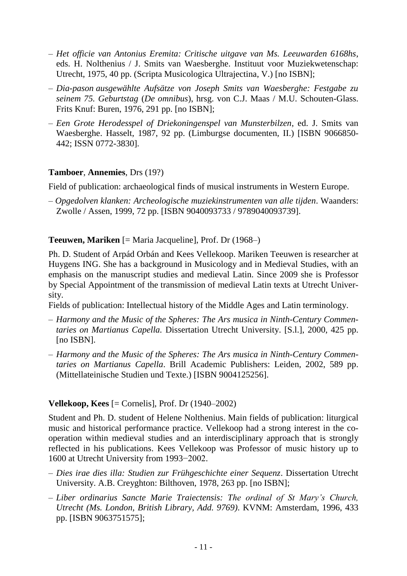- *– Het officie van Antonius Eremita: Critische uitgave van Ms. Leeuwarden 6168hs*, eds. H. Nolthenius / J. Smits van Waesberghe. Instituut voor Muziekwetenschap: Utrecht, 1975, 40 pp. (Scripta Musicologica Ultrajectina, V.) [no ISBN];
- *Dia-pason ausgewählte Aufsätze von Joseph Smits van Waesberghe: Festgabe zu seinem 75. Geburtstag* (*De omnibus*), hrsg. von C.J. Maas / M.U. Schouten-Glass. Frits Knuf: Buren, 1976, 291 pp. [no ISBN];
- *Een Grote Herodesspel of Driekoningenspel van Munsterbilzen*, ed. J. Smits van Waesberghe. Hasselt, 1987, 92 pp. (Limburgse documenten, II.) [ISBN [9066850-](javascript:open_window(%22http://aleph.library.uu.nl:80/F/N1FISP6VHBVI9U8IGUVBNUIDCX5L89NM76UTANNYDT87E98JDS-11161?func=service&doc_number=001040323&line_number=0006&service_type=TAG%22);) [442;](javascript:open_window(%22http://aleph.library.uu.nl:80/F/N1FISP6VHBVI9U8IGUVBNUIDCX5L89NM76UTANNYDT87E98JDS-11161?func=service&doc_number=001040323&line_number=0006&service_type=TAG%22);) ISSN 0772-3830].

## **Tamboer**, **Annemies**, Drs (19?)

Field of publication: archaeological finds of musical instruments in Western Europe.

– *Opgedolven klanken: Archeologische muziekinstrumenten van alle tijden*. Waanders: Zwolle / Assen, 1999, 72 pp. [ISBN 9040093733 / 9789040093739].

## **Teeuwen, Mariken** [= Maria Jacqueline], Prof. Dr (1968–)

Ph. D. Student of Arpád Orbán and Kees Vellekoop. Mariken Teeuwen is researcher at Huygens ING. She has a background in Musicology and in Medieval Studies, with an emphasis on the manuscript studies and medieval Latin. Since 2009 she is Professor by Special Appointment of the transmission of medieval Latin texts at Utrecht University.

Fields of publication: Intellectual history of the Middle Ages and Latin terminology.

- *Harmony and the Music of the Spheres: The Ars musica in Ninth-Century Commentaries on Martianus Capella.* Dissertation Utrecht University. [S.l.], 2000, 425 pp. [no ISBN].
- *– Harmony and the Music of the Spheres: The Ars musica in Ninth-Century Commentaries on Martianus Capella*. Brill Academic Publishers: Leiden, 2002, 589 pp. (Mittellateinische Studien und Texte.) [ISBN [9004125256\]](javascript:open_window(%22http://aleph.library.uu.nl:80/F/E4Y5LYDS693C3BUP9GLEARDQTVE8DIJJ3QID5DPGMBSVQ4GHCY-09611?func=service&doc_number=001992501&line_number=0006&service_type=TAG%22);).

## **Vellekoop, Kees** [= Cornelis], Prof. Dr (1940–2002)

Student and Ph. D. student of Helene Nolthenius. Main fields of publication: liturgical music and historical performance practice. Vellekoop had a strong interest in the cooperation within medieval studies and an interdisciplinary approach that is strongly reflected in his publications. Kees Vellekoop was Professor of music history up to 1600 at Utrecht University from 1993−2002.

- *Dies irae dies illa: Studien zur Frühgeschichte einer Sequenz*. Dissertation Utrecht University. A.B. Creyghton: Bilthoven, 1978, 263 pp. [no ISBN];
- *– Liber ordinarius Sancte Marie Traiectensis: The ordinal of St Mary's Church, Utrecht (Ms. London, British Library, Add. 9769)*. KVNM: Amsterdam, 1996, 433 pp. [ISBN 9063751575];